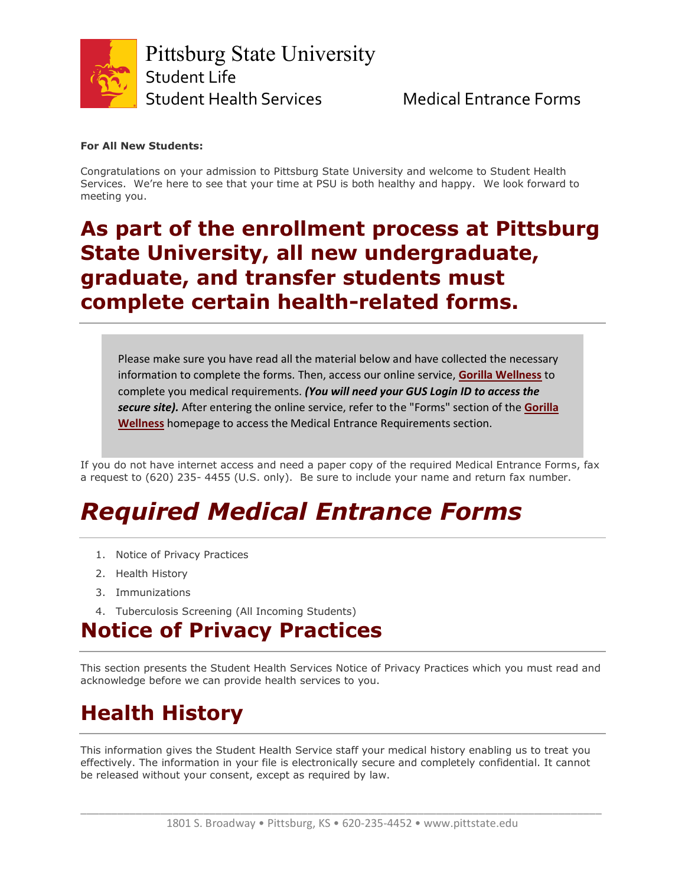

#### **For All New Students:**

Congratulations on your admission to Pittsburg State University and welcome to Student Health Services. We're here to see that your time at PSU is both healthy and happy. We look forward to meeting you.

#### **As part of the enrollment process at Pittsburg State University, all new undergraduate, graduate, and transfer students must complete certain health-related forms.**

Please make sure you have read all the material below and have collected the necessary information to complete the forms. Then, access our online service, **[Gorilla Wellness](https://stuh-app-opencomm.pittstate.edu/)** to complete you medical requirements. *(You will need your GUS Login ID to access the secure site).* After entering the online service, refer to the "Forms" section of the **[Gorilla](https://stuh-app-opencomm.pittstate.edu/)  [Wellness](https://stuh-app-opencomm.pittstate.edu/)** homepage to access the Medical Entrance Requirements section.

If you do not have internet access and need a paper copy of the required Medical Entrance Forms, fax a request to (620) 235- 4455 (U.S. only). Be sure to include your name and return fax number.

# *Required Medical Entrance Forms*

- 1. Notice of Privacy Practices
- 2. Health History
- 3. Immunizations
- 4. Tuberculosis Screening (All Incoming Students)

## **Notice of Privacy Practices**

This section presents the Student Health Services Notice of Privacy Practices which you must read and acknowledge before we can provide health services to you.

## **Health History**

This information gives the Student Health Service staff your medical history enabling us to treat you effectively. The information in your file is electronically secure and completely confidential. It cannot be released without your consent, except as required by law.